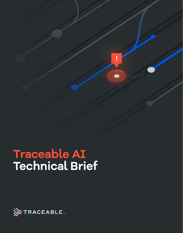# **Traceable AI Technical Brief**

I

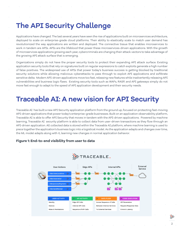## **The API Security Challenge**

Applications have changed. The last several years have seen the rise of applications built on microservices architecture, deployed to scale on enterprise-grade cloud platforms. Their ability to elastically scale to match user demand has revolutionized the way applications are written and deployed. The connective tissue that enables microservices to work in tandem are APIs. APIs are the lifeblood that power these microservices-driven applications. With the growth of microservices applications growing each year, cybercriminals are changing their attack vectors to take advantage of the growing API attack surface that is emerging.

Organizations simply do not have the proper security tools to protect their expanding API attack surface. Existing application security tools that rely on signatures built on regular expressions to catch exploits generate a high number of false positives. The widespread use of APIs that power today's business success is getting blocked by traditional security solutions while allowing malicious cyberattacks to pass through to exploit API applications and exfiltrate sensitive delta. Modern API-driven applications move too fast, releasing new features while inadvertently releasing API vulnerabilities and business logic flaws. Existing security tools such as WAFs, RASP, and API gateways simply do not move fast enough to adapt to the speed of API application development and their security needs.

## **Traceable AI: A new vision for API Security**

Traceable AI has built a new API Security application platform from the ground up, focused on protecting fast-moving API-driven applications that power today's enterprise-grade businesses. Built on an application observability platform, Traceable AI is able to offer API Security that moves in tandem with the API-driven applications. Powered by machine learning, Traceable AI security platform is able to collect data from user-driven transactions as they flow through an API-driven application. All collected data is stored within the Traceable AI platform, where machine learning is used to piece together the application's business logic into a logistical model. As the application adapts and changes over time, the ML model adapts along with it, learning new changes in normal application behavior.



#### **Figure 1: End-to-end visibility from user to data**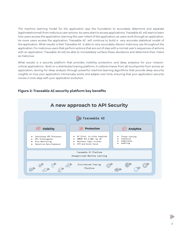The machine learning model for the application lays the foundation to accurately determine and separate legitimate(normal) from malicious user actions. As users start to access applications, Traceable AI will start to learn how users access the application, learning the user-intent of the application, as users work through an application. As more users access the application, Traceable AI will continue to build a very accurate statistical model of the application. What results is that Traceable AI is able to very accurately discern malicious use throughout the application. For malicious users that perform actions that are out of step with a normal user's sequences of actions with an application, Traceable AI will be able to immediately surface these deviations and determine their intent as malicious.

What results is a security platform that provides visibility, protection, and deep analytics for your missioncritical applications. Built on a distributed tracing platform, it collects traces from all touchpoints from across an application, storing for deep analysis through powerful machine learning algorithms that provide deep security insights on how your application intrinsically works and adapts over time, ensuring that your application security moves in lock-step with your application evolution.



#### **Figure 2: Traceable AI security platform key benefits**

3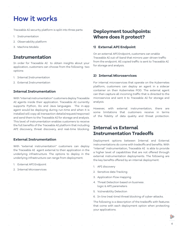## **How it works**

Traceable AI security platform is split into three parts:

- 1. Instrumentation
- 2. Observability platform
- 3. Machine Models

### **Instrumentation**

In order for Traceable AI to obtain insights about your application, customers can choose from the following two options:

- 1. Internal Instrumentation
- 2. External Instrumentation

#### **Internal Instrumentation**

With "internal instrumentation" customers deploy Traceable AI agents inside their application. Traceable AI currently supports Python, Go and Java languages. The in-app agent would be deploying during run-time and when it is installed will copy all transaction details(request/response) and send them to the Traceable AI for storage and analysis. This level of instrumentation enables customers to receive the full benefits of the Traceable AI platform that including API discovery, threat discovery, and real-time blocking.

#### **External Instrumentation**

With "external instrumentation" customers can deploy the Traceable AI agent external to their application in the underlying infrastructure. The options to deploy in the underlying infrastructure can range from deployment.

1. External API Endpoint

2. Internal Microservices

## **Deployment touchpoints: Where does it protect?**

#### **1) External API Endpoint**

On an external API Endpoint, customers can enable Traceable AI out-of-band that mirrors user-driven traffic from the endpoint. All copied traffic is sent to Traceable AI for storage and analysis.

#### **2) Internal Microservices**

For internal microservices that operate on the Kubernetes platform, customers can deploy an agent in a sidecar container on their Kubernetes POD. The external agent can then capture all incoming traffic that is directed to the microservice and sent it to Traceable AI for storage and analysis.

However, with external instrumentation, there are some limitations that customers receive in terms of the fidelity of data quality and threat protection.

### **Internal vs External Instrumentation Tradeoffs**

Deployment options between Internal and External instrumentations do come with tradeoffs and benefits. With "internal" instrumentation, Traceable AI is able to provide a higher level of capabilities that are not offered through external instrumentation deployments. The following are the key benefits offered by an internal deployment:

- 1. API discovery
- 2. Sensitive data Tracking
- 3. Application Flow mapping
- 4. Threat Detection based on business
- logic & API parameters
- 5. Vulnerability Detection
- 6. In-line (real-time) threat blocking of cyber-attacks.

The following is a description of the tradeoffs with features that come with each deployment option when protecting your applications.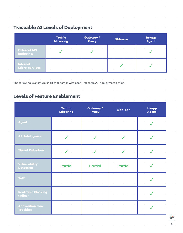## **Traceable AI Levels of Deployment**

|                                          | <b>Traffic</b><br><b>Mirroring</b> |                                     | Gateway /<br><b>Proxy</b> |                                   |            | Side-car            | In-app<br><b>Agent</b> |
|------------------------------------------|------------------------------------|-------------------------------------|---------------------------|-----------------------------------|------------|---------------------|------------------------|
| <b>External API</b><br><b>Endpoints</b>  |                                    | $\bullet$                           |                           |                                   | $\alpha$   | $\sim$<br>$\bullet$ |                        |
| <b>Internal</b><br><b>Micro-services</b> | $\circ$                            | the contract of the contract of the | $\circ$                   | <b>Contract Contract Contract</b> | $\sim$ 0.1 | $\circ$             |                        |

The following is a feature chart that comes with each Traceable AI deployment option.

## **Levels of Feature Enablement**

|                                            | <b>Traffic</b><br><b>Mirroring</b> | Gateway /<br><b>Proxy</b>                      | Side-car                         | In-app<br><b>Agent</b> |
|--------------------------------------------|------------------------------------|------------------------------------------------|----------------------------------|------------------------|
| <b>Agent</b>                               | $\alpha$<br><b>Contractor</b>      | $\alpha$<br>$\alpha$<br>$\sim$                 | $\alpha$<br>$\circ$              |                        |
| <b>API Intelligence</b>                    | $\circ$                            | $\alpha$                                       | $\alpha$                         |                        |
| <b>Threat Detection</b>                    | $\sim$                             | $\sim$                                         | $\sim$                           |                        |
| Vulnerability<br><b>Detection</b>          | <b>Partial</b>                     | <b>Partial</b>                                 | <b>Partial</b>                   |                        |
| <b>WAF</b>                                 | $\sim$<br><b>Contract Contract</b> | $\sim$<br>$\alpha$<br>$\odot$                  | $\alpha$<br>$\circ$              | $\alpha$ .             |
| <b>Real-Time Blocking</b><br>(Inline)      | $\sim$<br>$\alpha$                 | $\alpha$<br>$\sim$ 0.00<br>$\alpha$            | $\alpha$<br>$\alpha$<br>$\alpha$ |                        |
| <b>Application Flow</b><br><b>Tracking</b> | $\alpha$<br>$\sim 100$             | $\sim$<br>$\sim 0$<br><b>Contract Contract</b> | $\sim$<br>$\odot$                |                        |

注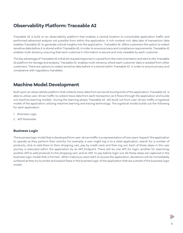### **Observability Platform: Traceable AI**

Traceable AI is built on an observability platform that enables a central location to consolidate application traffic and performed advanced analysis not possible from within the application. A rich context-rich data lake of transaction data enables Traceable AI to generate critical insights into the application. Traceable AI offers customers the option to redact sensitive data before it is stored within Traceable AI, in order to ensure privacy and compliance requirements. Traceable AI enables multi-tenancy, ensuring that each customer's information is secure and only viewable by each customer.

The key advantage of Traceable AI is that all request/response is copied from the instrumentation and sent to the Traceable AI platform for storage and analysis. Traceable AI enables multi-tenancy, where each customer data is isolated from other customers. There are options to redact sensitive data before it is stored within Traceable AI in order to ensure privacy and compliance with regulatory mandates.

## **Machine Model Development**

Built upon an observability platform that collects trace data from across all touchpoints of the application, Traceable AI is able to utilize user-driven traffic to collect trace data from each transaction as it flows through the application and builds out machine learning models. During the learning phase, Traceable AI will build out from user-driven traffic a logistical model of the application utilizing machine learning and tracing technology. The logistical model builds out the following for each application:

- 1. Business Logic
- 2. API Parameter

#### **Business Logic**

The business logic model that is developed from user-driven traffic is a representation of how users "expect" the application to operate as they perform their activity. For example, a user might log in to a retail application, search for a number of products, click to add them to their shopping cart, pay by credit card, and then log out. Each of these steps in the user journey is executed within the application by an API Endpoint. There will be one API for login, another for searching, another API to add products to the shopping cart, and an API to pay before login out. All these steps are captured in the business logic model that is formed. When malicious users start to access the application, deviations will be immediately surfaced as they try to probe and exploit flaws in the business logic of the application that are outside of the business logic model.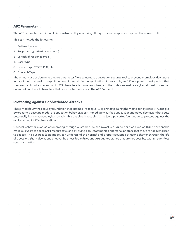#### **API Parameter**

The API parameter definition file is constructed by observing all requests and responses captured from user traffic.

This can include the following:

- 1. Authentication
- 2. Response type (text vs numeric)
- 3. Length of response type
- 4. User-type
- 5. Header type (POST, PUT, etc)
- 6. Content-Type

The primary use of obtaining the API parameter file is to use it as a validation security tool to prevent anomalous deviations in data input that seek to exploit vulnerabilities within the application. For example, an API endpoint is designed so that the user can input a maximum of 255 characters but a recent change in the code can enable a cybercriminal to send an unlimited number of characters that could potentially crash the API Endpoint.

#### **Protecting against Sophisticated Attacks**

These models lay the security foundation that enables Traceable AI to protect against the most sophisticated API attacks. By creating a baseline model of application behavior, it can immediately surface unusual or anomalous behavior that could potentially be a malicious cyber-attack. This enables Traceable AI to lay a powerful foundation to protect against the exploitation of API vulnerabilities.

Unusual behavior such as enumerating through customer-ids can reveal API vulnerabilities such as BOLA that enable malicious users to access API resources(such as viewing bank statements or personal photos) that they are not authorized to access. The business logic model can understand the normal and proper sequence of user behavior through the life of a session. Slight deviations uncover business logic flaws and API vulnerabilities that are not possible with an agentless security solution.

7